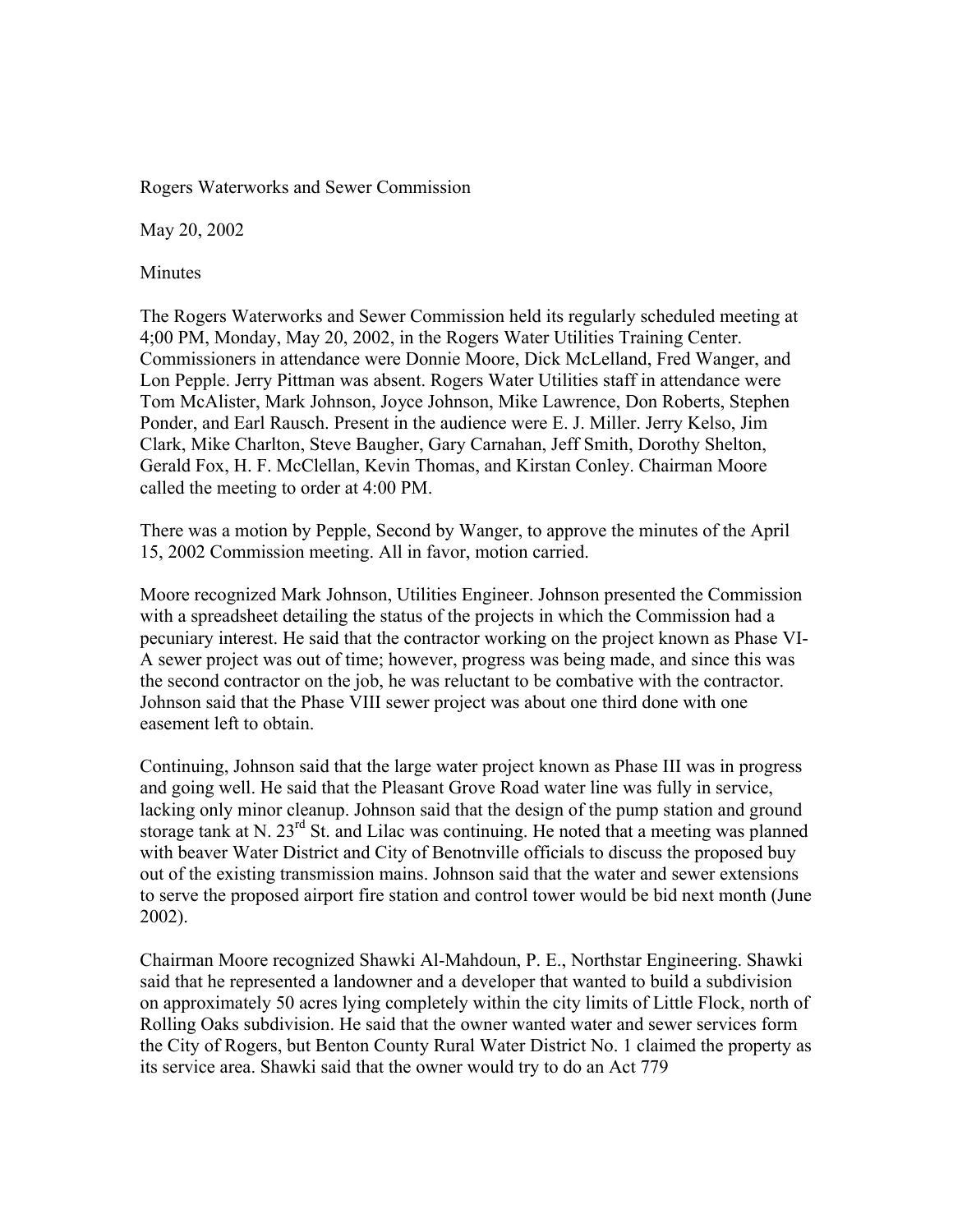Rogers Waterworks and Sewer Commission

May 20, 2002

Minutes

The Rogers Waterworks and Sewer Commission held its regularly scheduled meeting at 4;00 PM, Monday, May 20, 2002, in the Rogers Water Utilities Training Center. Commissioners in attendance were Donnie Moore, Dick McLelland, Fred Wanger, and Lon Pepple. Jerry Pittman was absent. Rogers Water Utilities staff in attendance were Tom McAlister, Mark Johnson, Joyce Johnson, Mike Lawrence, Don Roberts, Stephen Ponder, and Earl Rausch. Present in the audience were E. J. Miller. Jerry Kelso, Jim Clark, Mike Charlton, Steve Baugher, Gary Carnahan, Jeff Smith, Dorothy Shelton, Gerald Fox, H. F. McClellan, Kevin Thomas, and Kirstan Conley. Chairman Moore called the meeting to order at 4:00 PM.

There was a motion by Pepple, Second by Wanger, to approve the minutes of the April 15, 2002 Commission meeting. All in favor, motion carried.

Moore recognized Mark Johnson, Utilities Engineer. Johnson presented the Commission with a spreadsheet detailing the status of the projects in which the Commission had a pecuniary interest. He said that the contractor working on the project known as Phase VI-A sewer project was out of time; however, progress was being made, and since this was the second contractor on the job, he was reluctant to be combative with the contractor. Johnson said that the Phase VIII sewer project was about one third done with one easement left to obtain.

Continuing, Johnson said that the large water project known as Phase III was in progress and going well. He said that the Pleasant Grove Road water line was fully in service, lacking only minor cleanup. Johnson said that the design of the pump station and ground storage tank at N. 23<sup>rd</sup> St. and Lilac was continuing. He noted that a meeting was planned with beaver Water District and City of Benotnville officials to discuss the proposed buy out of the existing transmission mains. Johnson said that the water and sewer extensions to serve the proposed airport fire station and control tower would be bid next month (June 2002).

Chairman Moore recognized Shawki Al-Mahdoun, P. E., Northstar Engineering. Shawki said that he represented a landowner and a developer that wanted to build a subdivision on approximately 50 acres lying completely within the city limits of Little Flock, north of Rolling Oaks subdivision. He said that the owner wanted water and sewer services form the City of Rogers, but Benton County Rural Water District No. 1 claimed the property as its service area. Shawki said that the owner would try to do an Act 779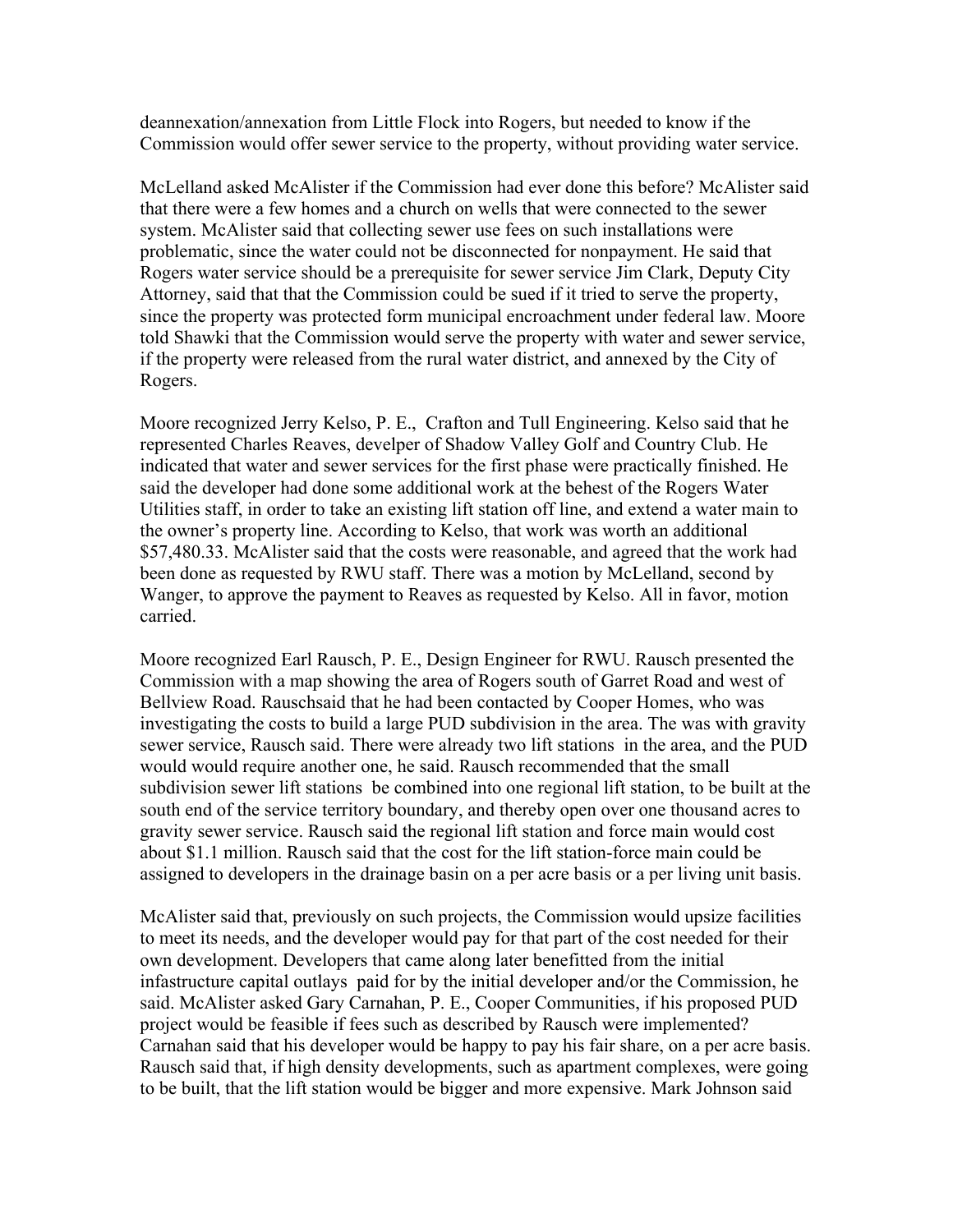deannexation/annexation from Little Flock into Rogers, but needed to know if the Commission would offer sewer service to the property, without providing water service.

McLelland asked McAlister if the Commission had ever done this before? McAlister said that there were a few homes and a church on wells that were connected to the sewer system. McAlister said that collecting sewer use fees on such installations were problematic, since the water could not be disconnected for nonpayment. He said that Rogers water service should be a prerequisite for sewer service Jim Clark, Deputy City Attorney, said that that the Commission could be sued if it tried to serve the property, since the property was protected form municipal encroachment under federal law. Moore told Shawki that the Commission would serve the property with water and sewer service, if the property were released from the rural water district, and annexed by the City of Rogers.

Moore recognized Jerry Kelso, P. E., Crafton and Tull Engineering. Kelso said that he represented Charles Reaves, develper of Shadow Valley Golf and Country Club. He indicated that water and sewer services for the first phase were practically finished. He said the developer had done some additional work at the behest of the Rogers Water Utilities staff, in order to take an existing lift station off line, and extend a water main to the owner's property line. According to Kelso, that work was worth an additional \$57,480.33. McAlister said that the costs were reasonable, and agreed that the work had been done as requested by RWU staff. There was a motion by McLelland, second by Wanger, to approve the payment to Reaves as requested by Kelso. All in favor, motion carried.

Moore recognized Earl Rausch, P. E., Design Engineer for RWU. Rausch presented the Commission with a map showing the area of Rogers south of Garret Road and west of Bellview Road. Rauschsaid that he had been contacted by Cooper Homes, who was investigating the costs to build a large PUD subdivision in the area. The was with gravity sewer service, Rausch said. There were already two lift stations in the area, and the PUD would would require another one, he said. Rausch recommended that the small subdivision sewer lift stations be combined into one regional lift station, to be built at the south end of the service territory boundary, and thereby open over one thousand acres to gravity sewer service. Rausch said the regional lift station and force main would cost about \$1.1 million. Rausch said that the cost for the lift station-force main could be assigned to developers in the drainage basin on a per acre basis or a per living unit basis.

McAlister said that, previously on such projects, the Commission would upsize facilities to meet its needs, and the developer would pay for that part of the cost needed for their own development. Developers that came along later benefitted from the initial infastructure capital outlays paid for by the initial developer and/or the Commission, he said. McAlister asked Gary Carnahan, P. E., Cooper Communities, if his proposed PUD project would be feasible if fees such as described by Rausch were implemented? Carnahan said that his developer would be happy to pay his fair share, on a per acre basis. Rausch said that, if high density developments, such as apartment complexes, were going to be built, that the lift station would be bigger and more expensive. Mark Johnson said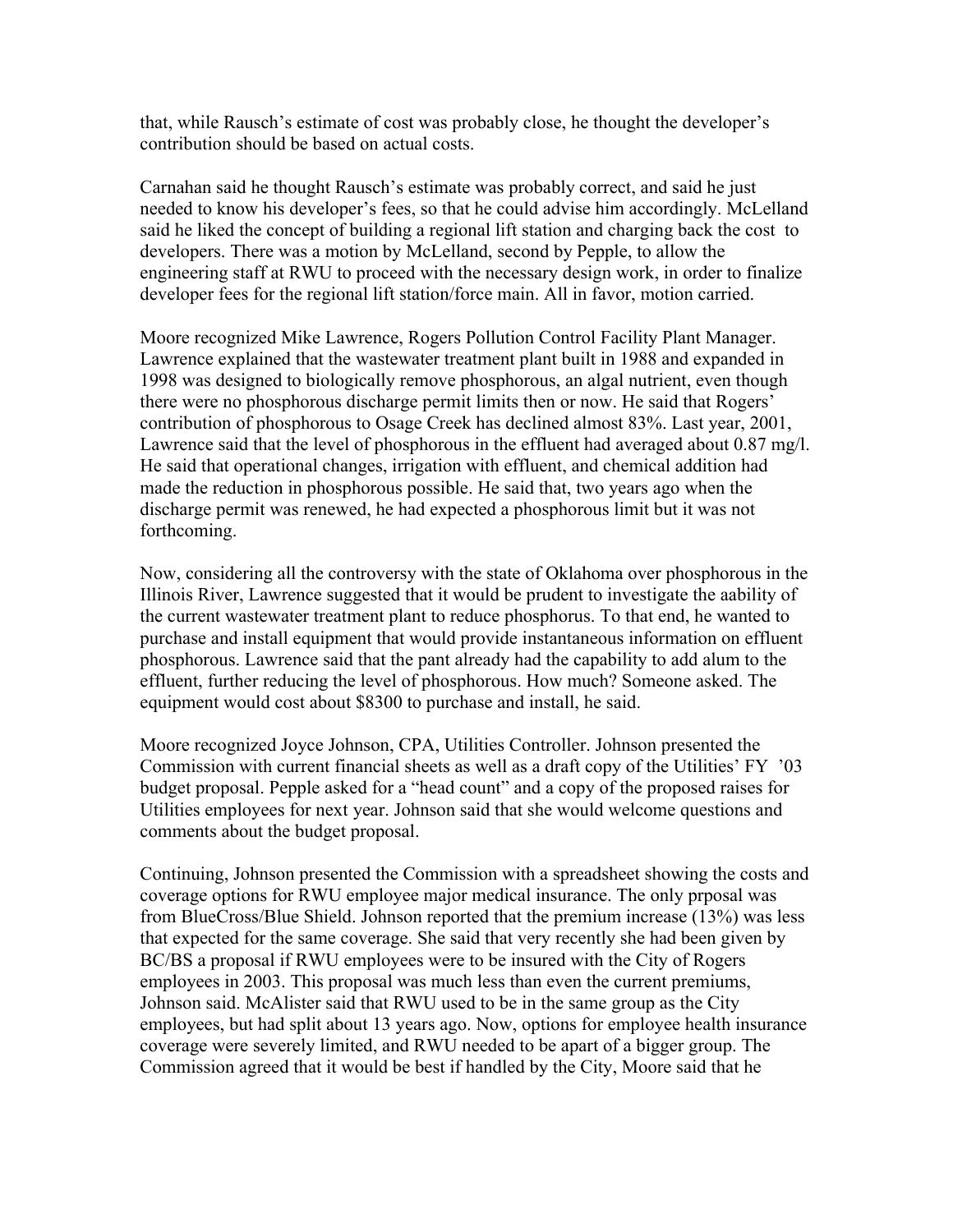that, while Rausch's estimate of cost was probably close, he thought the developer's contribution should be based on actual costs.

Carnahan said he thought Rausch's estimate was probably correct, and said he just needed to know his developer's fees, so that he could advise him accordingly. McLelland said he liked the concept of building a regional lift station and charging back the cost to developers. There was a motion by McLelland, second by Pepple, to allow the engineering staff at RWU to proceed with the necessary design work, in order to finalize developer fees for the regional lift station/force main. All in favor, motion carried.

Moore recognized Mike Lawrence, Rogers Pollution Control Facility Plant Manager. Lawrence explained that the wastewater treatment plant built in 1988 and expanded in 1998 was designed to biologically remove phosphorous, an algal nutrient, even though there were no phosphorous discharge permit limits then or now. He said that Rogers' contribution of phosphorous to Osage Creek has declined almost 83%. Last year, 2001, Lawrence said that the level of phosphorous in the effluent had averaged about 0.87 mg/l. He said that operational changes, irrigation with effluent, and chemical addition had made the reduction in phosphorous possible. He said that, two years ago when the discharge permit was renewed, he had expected a phosphorous limit but it was not forthcoming.

Now, considering all the controversy with the state of Oklahoma over phosphorous in the Illinois River, Lawrence suggested that it would be prudent to investigate the aability of the current wastewater treatment plant to reduce phosphorus. To that end, he wanted to purchase and install equipment that would provide instantaneous information on effluent phosphorous. Lawrence said that the pant already had the capability to add alum to the effluent, further reducing the level of phosphorous. How much? Someone asked. The equipment would cost about \$8300 to purchase and install, he said.

Moore recognized Joyce Johnson, CPA, Utilities Controller. Johnson presented the Commission with current financial sheets as well as a draft copy of the Utilities' FY '03 budget proposal. Pepple asked for a "head count" and a copy of the proposed raises for Utilities employees for next year. Johnson said that she would welcome questions and comments about the budget proposal.

Continuing, Johnson presented the Commission with a spreadsheet showing the costs and coverage options for RWU employee major medical insurance. The only prposal was from BlueCross/Blue Shield. Johnson reported that the premium increase (13%) was less that expected for the same coverage. She said that very recently she had been given by BC/BS a proposal if RWU employees were to be insured with the City of Rogers employees in 2003. This proposal was much less than even the current premiums, Johnson said. McAlister said that RWU used to be in the same group as the City employees, but had split about 13 years ago. Now, options for employee health insurance coverage were severely limited, and RWU needed to be apart of a bigger group. The Commission agreed that it would be best if handled by the City, Moore said that he